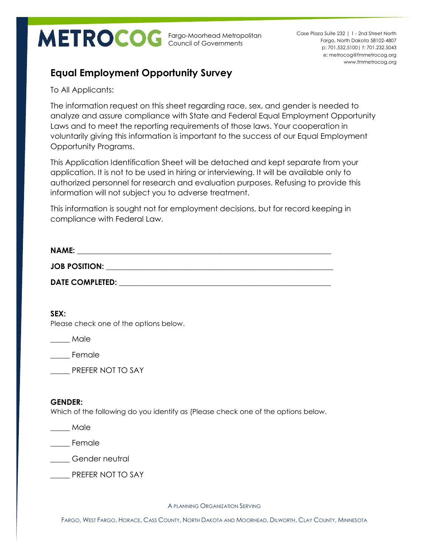Fargo-Moorhead Metropolitan Council of Governments

p: 701.532.5100| f: 701.232.5043 e: metrocog@fmmetrocog.org www.fmmetrocog.org Case Plaza Suite 232 | 1 - 2nd Street North Fargo, North Dakota 58102-4807

## **Equal Employment Opportunity Survey**

To All Applicants:

The information request on this sheet regarding race, sex, and gender is needed to analyze and assure compliance with State and Federal Equal Employment Opportunity Laws and to meet the reporting requirements of those laws. Your cooperation in voluntarily giving this information is important to the success of our Equal Employment Opportunity Programs.

This Application Identification Sheet will be detached and kept separate from your application. It is not to be used in hiring or interviewing. It will be available only to authorized personnel for research and evaluation purposes. Refusing to provide this information will not subject you to adverse treatment.

This information is sought not for employment decisions, but for record keeping in compliance with Federal Law.

| <b>NAME:</b>           |  |
|------------------------|--|
| <b>JOB POSITION:</b>   |  |
| <b>DATE COMPLETED:</b> |  |

**SEX:**

Please check one of the options below.

\_\_\_\_\_ Male

\_\_\_\_\_ Female

PREFER NOT TO SAY

## **GENDER:**

Which of the following do you identify as (Please check one of the options below.

\_\_\_\_\_ Male

\_\_\_\_\_ Female

Gender neutral

PREFER NOT TO SAY

A PLANNING ORGANIZATION SERVING